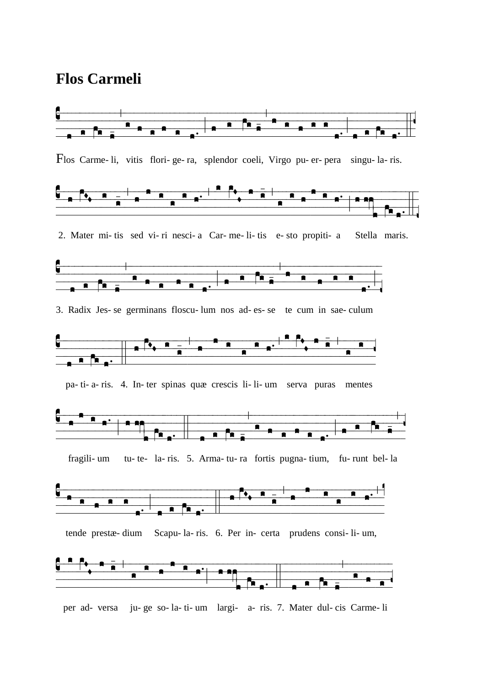## **Flos Carmeli**